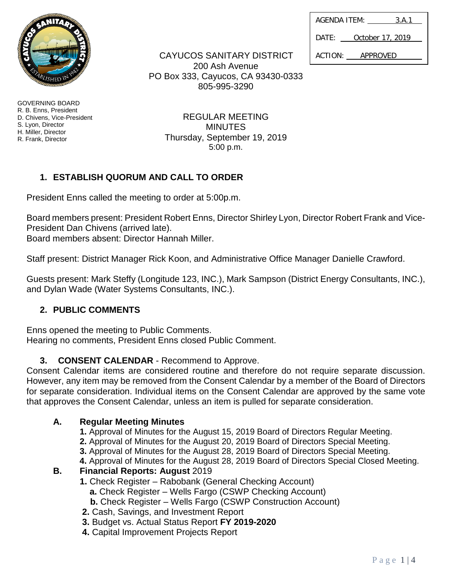| Page $1 4$ |  |
|------------|--|

| AGENDA ITEM: | 3.A.1            |  |
|--------------|------------------|--|
| DATE:        | October 17, 2019 |  |

ACTION: APPROVED

GOVERNING BOARD R. B. Enns, President D. Chivens, Vice-President S. Lyon, Director H. Miller, Director R. Frank, Director

CAYUCOS SANITARY DISTRICT

200 Ash Avenue PO Box 333, Cayucos, CA 93430-0333 805-995-3290

> REGULAR MEETING MINUTES Thursday, September 19, 2019 5:00 p.m.

# **1. ESTABLISH QUORUM AND CALL TO ORDER**

President Enns called the meeting to order at 5:00p.m.

Board members present: President Robert Enns, Director Shirley Lyon, Director Robert Frank and Vice-President Dan Chivens (arrived late).

Board members absent: Director Hannah Miller.

Staff present: District Manager Rick Koon, and Administrative Office Manager Danielle Crawford.

Guests present: Mark Steffy (Longitude 123, INC.), Mark Sampson (District Energy Consultants, INC.), and Dylan Wade (Water Systems Consultants, INC.).

## **2. PUBLIC COMMENTS**

Enns opened the meeting to Public Comments. Hearing no comments, President Enns closed Public Comment.

## **3. CONSENT CALENDAR** - Recommend to Approve.

Consent Calendar items are considered routine and therefore do not require separate discussion. However, any item may be removed from the Consent Calendar by a member of the Board of Directors for separate consideration. Individual items on the Consent Calendar are approved by the same vote that approves the Consent Calendar, unless an item is pulled for separate consideration.

## **A. Regular Meeting Minutes**

- **1.** Approval of Minutes for the August 15, 2019 Board of Directors Regular Meeting.
- **2.** Approval of Minutes for the August 20, 2019 Board of Directors Special Meeting.
- **3.** Approval of Minutes for the August 28, 2019 Board of Directors Special Meeting.
- **4.** Approval of Minutes for the August 28, 2019 Board of Directors Special Closed Meeting.

## **B. Financial Reports: August** 2019

- **1.** Check Register Rabobank (General Checking Account)
	- **a.** Check Register Wells Fargo (CSWP Checking Account)
	- **b.** Check Register Wells Fargo (CSWP Construction Account)
- **2.** Cash, Savings, and Investment Report
- **3.** Budget vs. Actual Status Report **FY 2019-2020**
- **4.** Capital Improvement Projects Report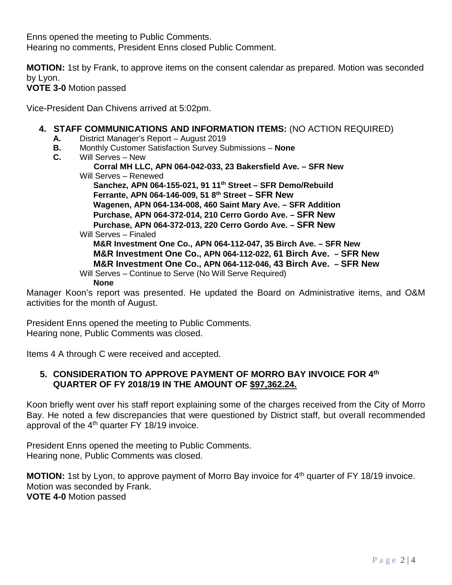Enns opened the meeting to Public Comments. Hearing no comments, President Enns closed Public Comment.

**MOTION:** 1st by Frank, to approve items on the consent calendar as prepared. Motion was seconded by Lyon.

#### **VOTE 3-0** Motion passed

Vice-President Dan Chivens arrived at 5:02pm.

#### **4. STAFF COMMUNICATIONS AND INFORMATION ITEMS:** (NO ACTION REQUIRED)

- **A.** District Manager's Report August 2019
- **B.** Monthly Customer Satisfaction Survey Submissions **None**
- **C.** Will Serves New

 **Corral MH LLC, APN 064-042-033, 23 Bakersfield Ave. – SFR New**

Will Serves – Renewed

 **Sanchez, APN 064-155-021, 91 11th Street – SFR Demo/Rebuild Ferrante, APN 064-146-009, 51 8th Street – SFR New Wagenen, APN 064-134-008, 460 Saint Mary Ave. – SFR Addition Purchase, APN 064-372-014, 210 Cerro Gordo Ave. – SFR New Purchase, APN 064-372-013, 220 Cerro Gordo Ave. – SFR New** Will Serves – Finaled **M&R Investment One Co., APN 064-112-047, 35 Birch Ave. – SFR New M&R Investment One Co., APN 064-112-022, 61 Birch Ave. – SFR New M&R Investment One Co., APN 064-112-046, 43 Birch Ave. – SFR New** Will Serves – Continue to Serve (No Will Serve Required) **None**

Manager Koon's report was presented. He updated the Board on Administrative items, and O&M activities for the month of August.

President Enns opened the meeting to Public Comments. Hearing none, Public Comments was closed.

Items 4 A through C were received and accepted.

#### **5. CONSIDERATION TO APPROVE PAYMENT OF MORRO BAY INVOICE FOR 4th QUARTER OF FY 2018/19 IN THE AMOUNT OF \$97,362.24.**

Koon briefly went over his staff report explaining some of the charges received from the City of Morro Bay. He noted a few discrepancies that were questioned by District staff, but overall recommended approval of the  $4<sup>th</sup>$  quarter FY 18/19 invoice.

President Enns opened the meeting to Public Comments. Hearing none, Public Comments was closed.

**MOTION:** 1st by Lyon, to approve payment of Morro Bay invoice for 4<sup>th</sup> quarter of FY 18/19 invoice. Motion was seconded by Frank. **VOTE 4-0** Motion passed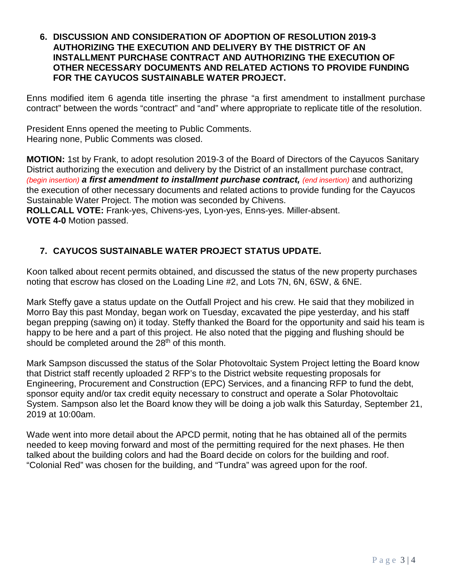#### **6. DISCUSSION AND CONSIDERATION OF ADOPTION OF RESOLUTION 2019-3 AUTHORIZING THE EXECUTION AND DELIVERY BY THE DISTRICT OF AN INSTALLMENT PURCHASE CONTRACT AND AUTHORIZING THE EXECUTION OF OTHER NECESSARY DOCUMENTS AND RELATED ACTIONS TO PROVIDE FUNDING FOR THE CAYUCOS SUSTAINABLE WATER PROJECT.**

Enns modified item 6 agenda title inserting the phrase "a first amendment to installment purchase contract" between the words "contract" and "and" where appropriate to replicate title of the resolution.

President Enns opened the meeting to Public Comments. Hearing none, Public Comments was closed.

**MOTION:** 1st by Frank, to adopt resolution 2019-3 of the Board of Directors of the Cayucos Sanitary District authorizing the execution and delivery by the District of an installment purchase contract, *(begin insertion) a first amendment to installment purchase contract, (end insertion)* and authorizing the execution of other necessary documents and related actions to provide funding for the Cayucos Sustainable Water Project. The motion was seconded by Chivens.

**ROLLCALL VOTE:** Frank-yes, Chivens-yes, Lyon-yes, Enns-yes. Miller-absent. **VOTE 4-0** Motion passed.

## **7. CAYUCOS SUSTAINABLE WATER PROJECT STATUS UPDATE.**

Koon talked about recent permits obtained, and discussed the status of the new property purchases noting that escrow has closed on the Loading Line #2, and Lots 7N, 6N, 6SW, & 6NE.

Mark Steffy gave a status update on the Outfall Project and his crew. He said that they mobilized in Morro Bay this past Monday, began work on Tuesday, excavated the pipe yesterday, and his staff began prepping (sawing on) it today. Steffy thanked the Board for the opportunity and said his team is happy to be here and a part of this project. He also noted that the pigging and flushing should be should be completed around the  $28<sup>th</sup>$  of this month.

Mark Sampson discussed the status of the Solar Photovoltaic System Project letting the Board know that District staff recently uploaded 2 RFP's to the District website requesting proposals for Engineering, Procurement and Construction (EPC) Services, and a financing RFP to fund the debt, sponsor equity and/or tax credit equity necessary to construct and operate a Solar Photovoltaic System. Sampson also let the Board know they will be doing a job walk this Saturday, September 21, 2019 at 10:00am.

Wade went into more detail about the APCD permit, noting that he has obtained all of the permits needed to keep moving forward and most of the permitting required for the next phases. He then talked about the building colors and had the Board decide on colors for the building and roof. "Colonial Red" was chosen for the building, and "Tundra" was agreed upon for the roof.